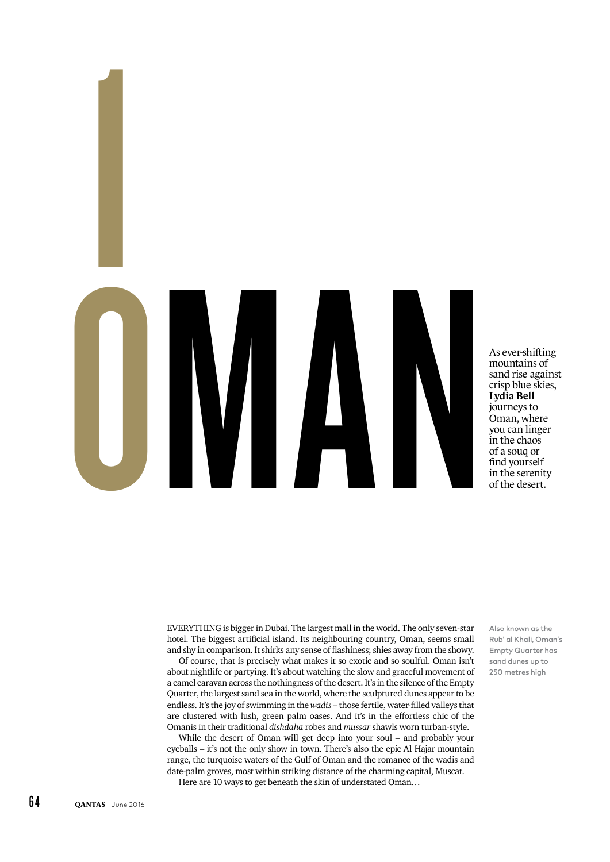

As ever-shifing mountains of sand rise against crisp blue skies, Lydia Bell journeys to Oman, where you can linger in the chaos of a souq or find yourself in the serenity of the desert.

EVERYTHING is bigger in Dubai. The largest mall in the world. The only seven-star hotel. The biggest artifcial island. Its neighbouring country, Oman, seems small and shy in comparison. It shirks any sense of fashiness; shies away from the showy.

Of course, that is precisely what makes it so exotic and so soulful. Oman isn't about nightlife or partying. It's about watching the slow and graceful movement of a camel caravan across the nothingness of the desert. It's in the silence of the Empty Quarter, the largest sand sea in the world, where the sculptured dunes appear to be endless. It's the joy of swimming in the *wadis* – those fertile, water-flled valleys that are clustered with lush, green palm oases. And it's in the efortless chic of the Omanis in their traditional *dishdaha* robes and *mussar* shawls worn turban-style.

While the desert of Oman will get deep into your soul – and probably your eyeballs – it's not the only show in town. There's also the epic Al Hajar mountain range, the turquoise waters of the Gulf of Oman and the romance of the wadis and date-palm groves, most within striking distance of the charming capital, Muscat.

Here are 10 ways to get beneath the skin of understated Oman…

Also known as the Rub' al Khali, Oman's Empty Quarter has sand dunes up to 250 metres high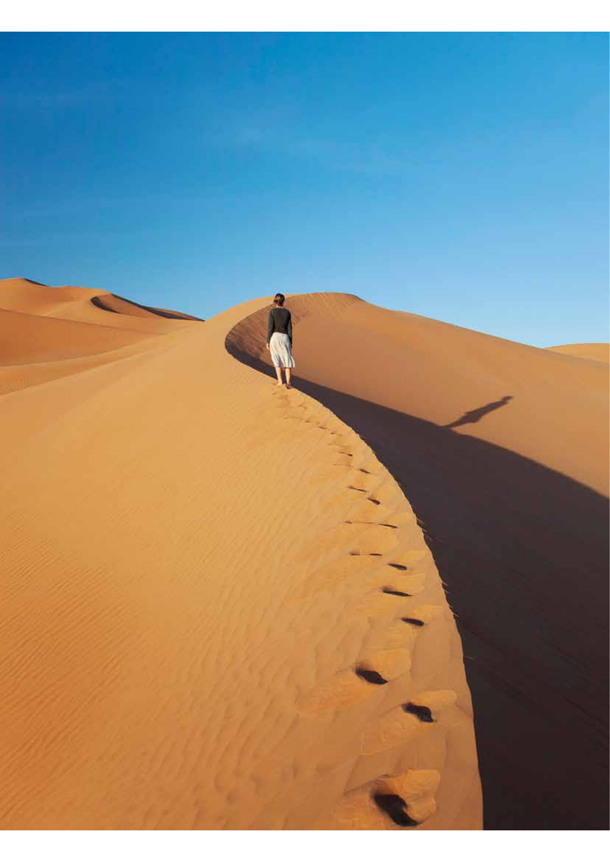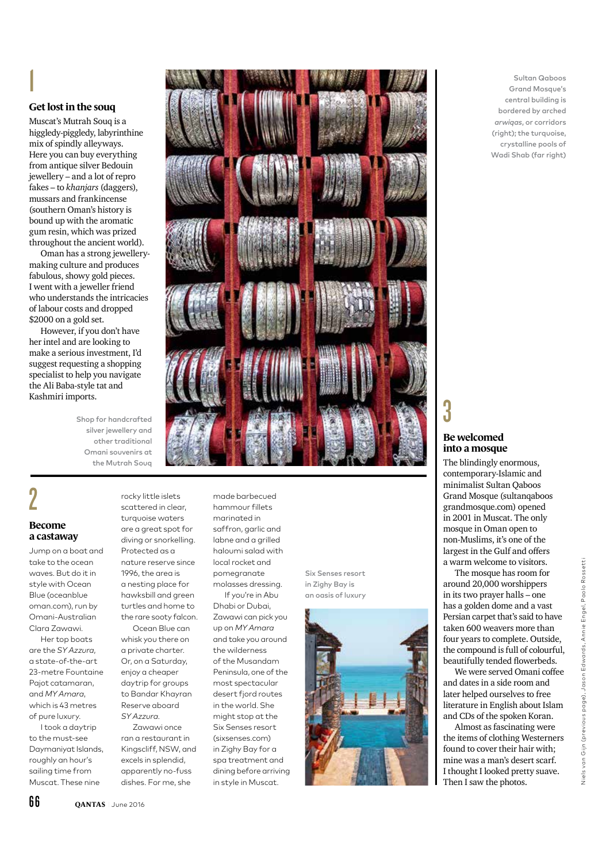#### **Get lost in the souq**

**Comparing the Source State of the Source of the Source of Spindly allow waves this<br>gledy-piggledy, labyrinthine mix of spindly allow verything from antique silver Bedouin<br>Here you can buy verything from an alot of reprodu** Muscat's Mutrah Souq is a higgledy-piggledy, labyrinthine mix of spindly alleyways. Here you can buy everything from antique silver Bedouin jewellery – and a lot of repro fakes – to *khanjars* (daggers), mussars and frankincense (southern Oman's history is bound up with the aromatic gum resin, which was prized throughout the ancient world).

Oman has a strong jewellerymaking culture and produces fabulous, showy gold pieces. I went with a jeweller friend who understands the intricacies of labour costs and dropped \$2000 on a gold set.

However, if you don't have her intel and are looking to make a serious investment, I'd suggest requesting a shopping specialist to help you navigate the Ali Baba-style tat and Kashmiri imports.

> Shop for handcrafted silver jewellery and other traditional Omani souvenirs at the Mutrah Souq



2

#### **Become a castaway**

Jump on a boat and take to the ocean waves. But do it in style with Ocean Blue (oceanblue oman.com), run by Omani-Australian Clara Zawawi.

Her top boats are the *SY Azzura*, a state-of-the-art 23-metre Fountaine Pajot catamaran, and *MY Amara*, which is 43 metres of pure luxury.

I took a daytrip to the must-see Daymaniyat Islands, roughly an hour's sailing time from Muscat. These nine

rocky little islets scattered in clear, turquoise waters are a great spot for diving or snorkelling. Protected as a nature reserve since 1996, the area is a nesting place for hawksbill and green turtles and home to the rare sooty falcon.

Ocean Blue can whisk you there on a private charter. Or, on a Saturday, enjoy a cheaper daytrip for groups to Bandar Khayran Reserve aboard *SY Azzura* .

Zawawi once ran a restaurant in Kingscliff, NSW, and excels in splendid, apparently no-fuss dishes. For me, she

made barbecued hammour fillets marinated in saffron, garlic and labne and a grilled haloumi salad with local rocket and pomegranate molasses dressing.

If you're in Abu Dhabi or Dubai, Zawawi can pick you up on *MY Amara* and take you around the wilderness of the Musandam Peninsula, one of the most spectacular desert fjord routes in the world. She might stop at the Six Senses resort (sixsenses.com) in Zighy Bay for a spa treatment and dining before arriving in style in Muscat.

Six Senses resort in Zighy Bay is an oasis of luxury



Sultan Qaboos Grand Mosque's central building is bordered by arched *arwiqas*, or corridors (right); the turquoise, crystalline pools of Wadi Shab (far right)

### 3 **Be welcomed into a mosque**

The blindingly enormous, contemporary-Islamic and minimalist Sultan Qaboos Grand Mosque (sultanqaboos grandmosque.com) opened in 2001 in Muscat. The only mosque in Oman open to non-Muslims, it's one of the largest in the Gulf and offers a warm welcome to visitors.

The mosque has room for around 20,000 worshippers in its two prayer halls – one has a golden dome and a vast Persian carpet that's said to have taken 600 weavers more than four years to complete. Outside, the compound is full of colourful, beautifully tended flowerbeds.

We were served Omani coffee and dates in a side room and later helped ourselves to free literature in English about Islam and CDs of the spoken Koran.

Almost as fascinating were the items of clothing Westerners found to cover their hair with; mine was a man's desert scarf. I thought I looked pretty suave. Then I saw the photos.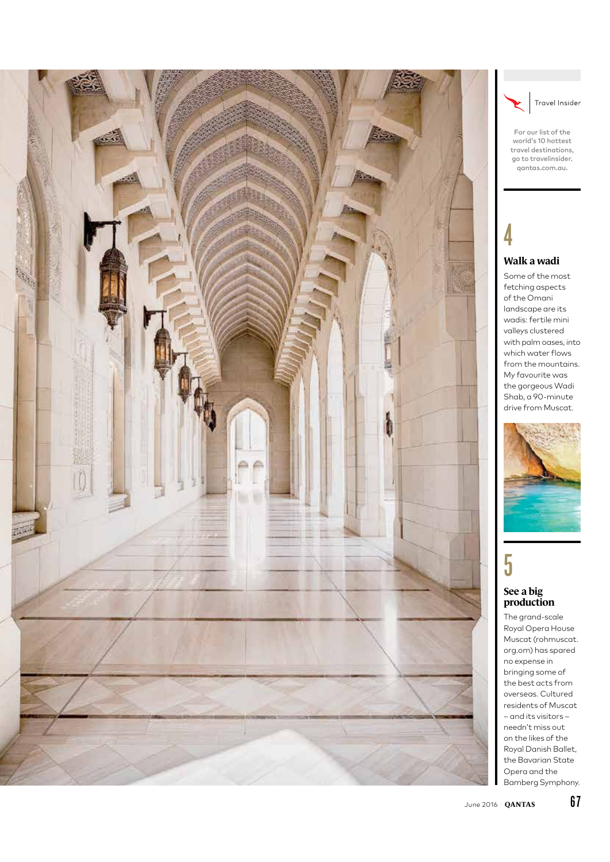

**Travel Insider** 

For our list of the world's 10 hottest travel destinations, go to travelinsider. qantas.com.au.

## 4 **Walk a wadi**

Some of the most fetching aspects of the Omani landscape are its wadis: fertile mini valleys clustered with palm oases, into which water flows from the mountains. My favourite was the gorgeous Wadi Shab, a 90-minute drive from Muscat.



# 5

**See a big production**

The grand-scale Royal Opera House Muscat (rohmuscat. org.om) has spared no expense in bringing some of the best acts from overseas. Cultured residents of Muscat – and its visitors – needn't miss out on the likes of the Royal Danish Ballet, the Bavarian State Opera and the Bamberg Symphony.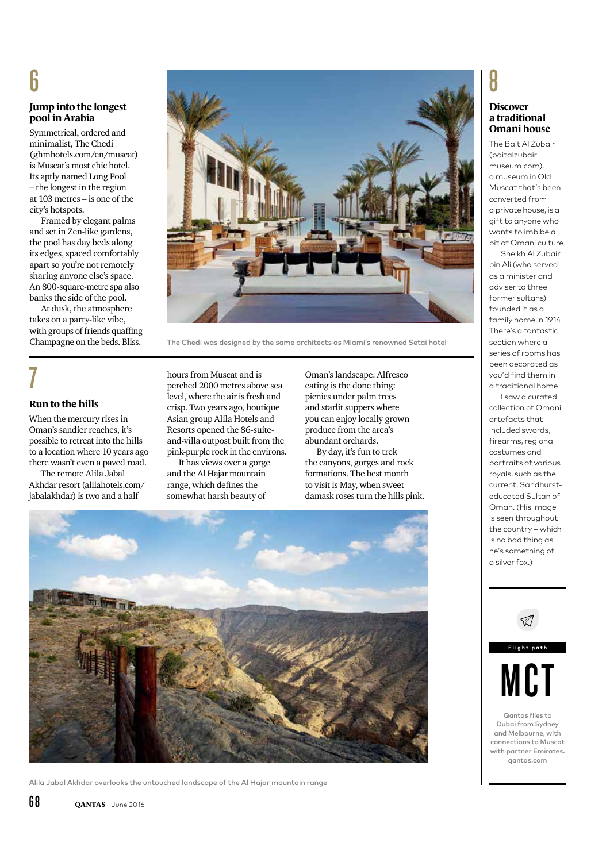## <u>ቡ</u>

7

**Run to the hills**

When the mercury rises in Oman's sandier reaches, it's possible to retreat into the hills to a location where 10 years ago there wasn't even a paved road. The remote Alila Jabal Akhdar resort (alilahotels.com/ jabalakhdar) is two and a half

#### **Jump into the longest pool in Arabia**

Symmetrical, ordered and minimalist, The Chedi (ghmhotels.com/en/muscat) is Muscat's most chic hotel. Its aptly named Long Pool – the longest in the region at 103 metres – is one of the city's hotspots.

Framed by elegant palms and set in Zen-like gardens, the pool has day beds along its edges, spaced comfortably apart so you're not remotely sharing anyone else's space. An 800-square-metre spa also banks the side of the pool.

At dusk, the atmosphere takes on a party-like vibe, with groups of friends quaffing Champagne on the beds. Bliss.

> Resorts opened the 86-suitepink-purple rock in the environs.

It has views over a gorge

Oman's landscape. Alfresco eating is the done thing: picnics under palm trees and starlit suppers where you can enjoy locally grown produce from the area's abundant orchards.

The Chedi was designed by the same architects as Miami's renowned Setai hotel

By day, it's fun to trek the canyons, gorges and rock formations. The best month to visit is May, when sweet damask roses turn the hills pink.

hours from Muscat and is perched 2000 metres above sea level, where the air is fresh and crisp. Two years ago, boutique Asian group Alila Hotels and and-villa outpost built from the



Alila Jabal Akhdar overlooks the untouched landscape of the Al Hajar mountain range

### 8 **Discover a traditional**

**Omani house** The Bait Al Zubair (baitalzubair museum.com), a museum in Old Muscat that's been converted from a private house, is a gift to anyone who wants to imbibe a bit of Omani culture.

Sheikh Al Zubair bin Ali (who served as a minister and adviser to three former sultans) founded it as a family home in 1914. There's a fantastic section where a series of rooms has been decorated as you'd find them in a traditional home. I saw a curated

collection of Omani artefacts that included swords, firearms, regional costumes and portraits of various royals, such as the current, Sandhursteducated Sultan of Oman. (His image is seen throughout the country – which is no bad thing as he's something of a silver fox.)



Qantas flies to Dubai from Sydney and Melbourne, with connections to Muscat with partner Emirates. qantas.com